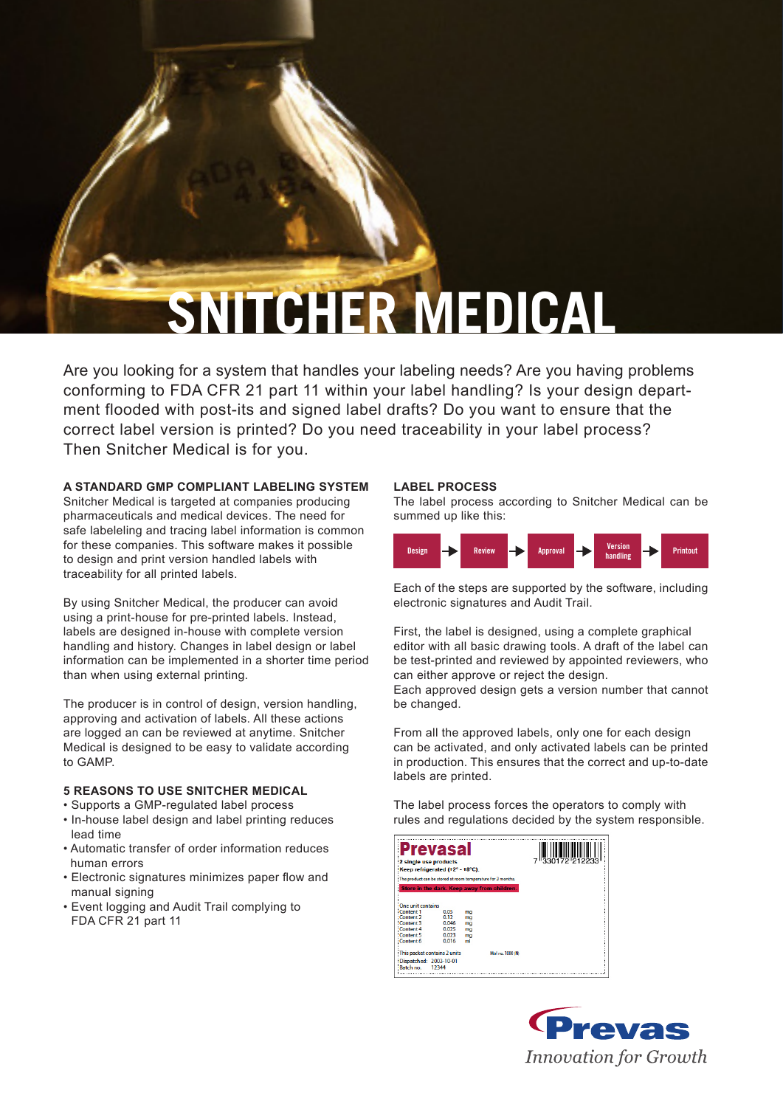# **SNITCHER MEDICAL**

Are you looking for a system that handles your labeling needs? Are you having problems conforming to FDA CFR 21 part 11 within your label handling? Is your design department flooded with post-its and signed label drafts? Do you want to ensure that the correct label version is printed? Do you need traceability in your label process? Then Snitcher Medical is for you.

# **A STANDARD GMP COMPLIANT LABELING SYSTEM**

Snitcher Medical is targeted at companies producing pharmaceuticals and medical devices. The need for safe labeleling and tracing label information is common for these companies. This software makes it possible to design and print version handled labels with traceability for all printed labels.

By using Snitcher Medical, the producer can avoid using a print-house for pre-printed labels. Instead, labels are designed in-house with complete version handling and history. Changes in label design or label information can be implemented in a shorter time period than when using external printing.

The producer is in control of design, version handling, approving and activation of labels. All these actions are logged an can be reviewed at anytime. Snitcher Medical is designed to be easy to validate according to GAMP.

## **5 REASONS TO USE SNITCHER MEDICAL**

- Supports a GMP-regulated label process
- In-house label design and label printing reduces lead time
- Automatic transfer of order information reduces human errors
- Electronic signatures minimizes paper flow and manual signing
- Event logging and Audit Trail complying to FDA CFR 21 part 11

### **LABEL PROCESS**

The label process according to Snitcher Medical can be summed up like this:



Each of the steps are supported by the software, including electronic signatures and Audit Trail.

First, the label is designed, using a complete graphical editor with all basic drawing tools. A draft of the label can be test-printed and reviewed by appointed reviewers, who can either approve or reject the design.

Each approved design gets a version number that cannot be changed.

From all the approved labels, only one for each design can be activated, and only activated labels can be printed in production. This ensures that the correct and up-to-date labels are printed.

The label process forces the operators to comply with rules and regulations decided by the system responsible.